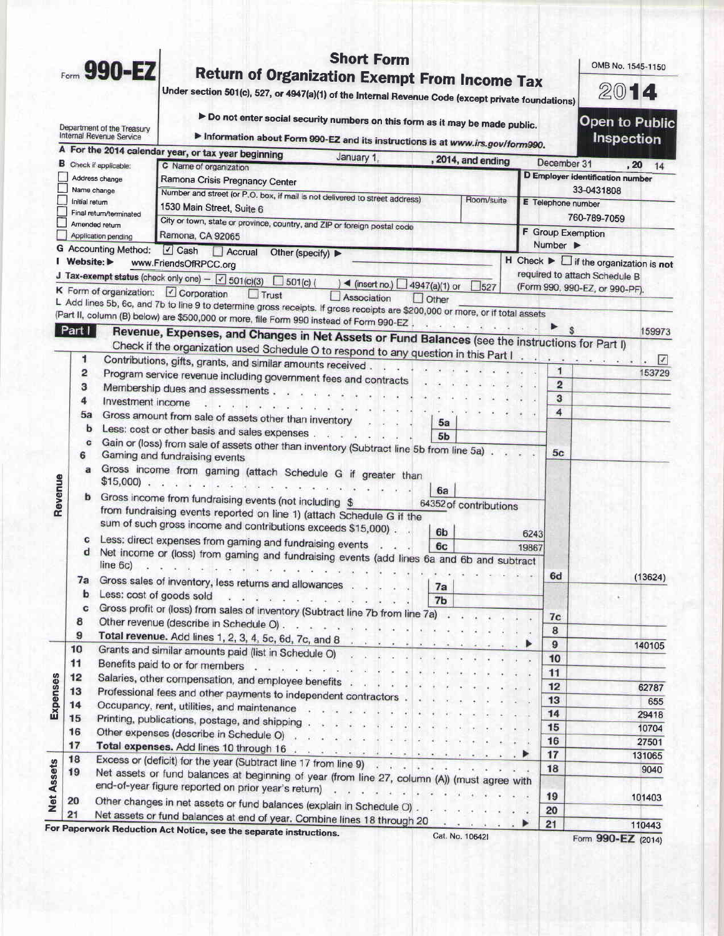|                                                                            |                                |                               |                                                                                                                                                                                                                                                                                                                                                                                                                                                                                       | <b>Short Form</b>                       |                                         |            |                                                   | OMB No. 1545-1150                                                                                  |                                            |
|----------------------------------------------------------------------------|--------------------------------|-------------------------------|---------------------------------------------------------------------------------------------------------------------------------------------------------------------------------------------------------------------------------------------------------------------------------------------------------------------------------------------------------------------------------------------------------------------------------------------------------------------------------------|-----------------------------------------|-----------------------------------------|------------|---------------------------------------------------|----------------------------------------------------------------------------------------------------|--------------------------------------------|
|                                                                            |                                | Form 990-EZ                   | <b>Return of Organization Exempt From Income Tax</b><br>Under section 501(c), 527, or 4947(a)(1) of the Internal Revenue Code (except private foundations)                                                                                                                                                                                                                                                                                                                            |                                         |                                         |            |                                                   | 2014                                                                                               |                                            |
| Department of the Treasury<br>Internal Revenue Service                     |                                |                               | > Do not enter social security numbers on this form as it may be made public.<br>Information about Form 990-EZ and its instructions is at www.irs.gov/form990.                                                                                                                                                                                                                                                                                                                        |                                         |                                         |            |                                                   |                                                                                                    | <b>Open to Public</b><br><b>Inspection</b> |
|                                                                            |                                |                               | A For the 2014 calendar year, or tax year beginning                                                                                                                                                                                                                                                                                                                                                                                                                                   | January 1,                              |                                         |            |                                                   |                                                                                                    |                                            |
|                                                                            |                                | <b>B</b> Check if applicable: | C Name of organization                                                                                                                                                                                                                                                                                                                                                                                                                                                                |                                         | , 2014, and ending                      |            |                                                   | December 31                                                                                        | .20<br>14                                  |
| Address change<br>Name change<br>Initial return<br>Final return/terminated |                                |                               | Ramona Crisis Pregnancy Center                                                                                                                                                                                                                                                                                                                                                                                                                                                        |                                         | <b>D</b> Employer identification number |            |                                                   |                                                                                                    |                                            |
|                                                                            |                                |                               | Number and street (or P.O. box, if mail is not delivered to street address)                                                                                                                                                                                                                                                                                                                                                                                                           |                                         |                                         | Room/suite |                                                   | 33-0431808                                                                                         |                                            |
|                                                                            |                                |                               | 1530 Main Street, Suite 6                                                                                                                                                                                                                                                                                                                                                                                                                                                             |                                         |                                         |            | E Telephone number                                |                                                                                                    |                                            |
|                                                                            |                                | Amended return                | City or town, state or province, country, and ZIP or foreign postal code                                                                                                                                                                                                                                                                                                                                                                                                              |                                         |                                         |            |                                                   | 760-789-7059                                                                                       |                                            |
|                                                                            |                                | <b>Application pending</b>    | Ramona, CA 92065                                                                                                                                                                                                                                                                                                                                                                                                                                                                      |                                         |                                         |            | F Group Exemption<br>Number $\blacktriangleright$ |                                                                                                    |                                            |
|                                                                            |                                | <b>G</b> Accounting Method:   | $\Box$ Cash<br>Accrual<br>Other (specify)                                                                                                                                                                                                                                                                                                                                                                                                                                             |                                         |                                         |            |                                                   |                                                                                                    |                                            |
|                                                                            | Website: $\blacktriangleright$ |                               | www.FriendsOfRPCC.org                                                                                                                                                                                                                                                                                                                                                                                                                                                                 |                                         |                                         |            |                                                   | $H$ Check $\blacktriangleright$ $\Box$ if the organization is not<br>required to attach Schedule B |                                            |
|                                                                            |                                |                               | J Tax-exempt status (check only one) - $\boxed{\checkmark}$ 501(c)(3)<br>$501(c)$ (                                                                                                                                                                                                                                                                                                                                                                                                   | $)$ < (insert no.) $\Box$ 4947(a)(1) or |                                         | $-527$     |                                                   | (Form 990, 990-EZ, or 990-PF).                                                                     |                                            |
|                                                                            |                                |                               | K Form of organization: V Corporation<br>$\Box$ Trust                                                                                                                                                                                                                                                                                                                                                                                                                                 | Association                             | $\Box$ Other                            |            |                                                   |                                                                                                    |                                            |
|                                                                            |                                |                               | L Add lines 5b, 6c, and 7b to line 9 to determine gross receipts. If gross receipts are \$200,000 or more, or if total assets                                                                                                                                                                                                                                                                                                                                                         |                                         |                                         |            |                                                   |                                                                                                    |                                            |
|                                                                            | Part                           |                               | (Part II, column (B) below) are \$500,000 or more, file Form 990 instead of Form 990-EZ,                                                                                                                                                                                                                                                                                                                                                                                              |                                         |                                         |            |                                                   |                                                                                                    | 159973                                     |
|                                                                            |                                |                               | Revenue, Expenses, and Changes in Net Assets or Fund Balances (see the instructions for Part I)                                                                                                                                                                                                                                                                                                                                                                                       |                                         |                                         |            |                                                   |                                                                                                    |                                            |
|                                                                            | 1                              |                               | Check if the organization used Schedule O to respond to any question in this Part I                                                                                                                                                                                                                                                                                                                                                                                                   |                                         |                                         |            |                                                   |                                                                                                    | $\sqrt{ }$                                 |
|                                                                            | 2                              |                               | Contributions, gifts, grants, and similar amounts received.                                                                                                                                                                                                                                                                                                                                                                                                                           |                                         |                                         |            | $\mathbf{1}$                                      |                                                                                                    | 153729                                     |
|                                                                            | 3                              |                               | Program service revenue including government fees and contracts<br>Membership dues and assessments                                                                                                                                                                                                                                                                                                                                                                                    |                                         |                                         |            | $\overline{2}$                                    |                                                                                                    |                                            |
|                                                                            | 4                              | Investment income             |                                                                                                                                                                                                                                                                                                                                                                                                                                                                                       |                                         |                                         |            | 3                                                 |                                                                                                    |                                            |
|                                                                            | 5a                             |                               | Gross amount from sale of assets other than inventory                                                                                                                                                                                                                                                                                                                                                                                                                                 |                                         |                                         |            | 4                                                 |                                                                                                    |                                            |
|                                                                            | b                              |                               | Less: cost or other basis and sales expenses                                                                                                                                                                                                                                                                                                                                                                                                                                          |                                         | 5a                                      |            |                                                   |                                                                                                    |                                            |
|                                                                            | c                              |                               | Gain or (loss) from sale of assets other than inventory (Subtract line 5b from line 5a).                                                                                                                                                                                                                                                                                                                                                                                              |                                         | 5 <sub>b</sub>                          |            |                                                   |                                                                                                    |                                            |
|                                                                            | 6                              |                               | Gaming and fundraising events                                                                                                                                                                                                                                                                                                                                                                                                                                                         |                                         |                                         |            | 5 <sub>c</sub>                                    |                                                                                                    |                                            |
|                                                                            | a                              |                               | Gross income from gaming (attach Schedule G if greater than<br>$$15,000$ .                                                                                                                                                                                                                                                                                                                                                                                                            |                                         |                                         |            |                                                   |                                                                                                    |                                            |
| Revenue                                                                    |                                |                               | Gross income from fundraising events (not including \$                                                                                                                                                                                                                                                                                                                                                                                                                                |                                         | 6a<br>64352 of contributions            |            |                                                   |                                                                                                    |                                            |
|                                                                            |                                |                               | from fundraising events reported on line 1) (attach Schedule G if the                                                                                                                                                                                                                                                                                                                                                                                                                 |                                         |                                         |            |                                                   |                                                                                                    |                                            |
|                                                                            |                                |                               | sum of such gross income and contributions exceeds \$15,000).                                                                                                                                                                                                                                                                                                                                                                                                                         |                                         | 6 <sub>b</sub>                          |            | 6243                                              |                                                                                                    |                                            |
|                                                                            |                                |                               | Less: direct expenses from gaming and fundraising events                                                                                                                                                                                                                                                                                                                                                                                                                              |                                         | 6c                                      |            | 19867                                             |                                                                                                    |                                            |
|                                                                            | d                              |                               | Net income or (loss) from gaming and fundraising events (add lines 6a and 6b and subtract                                                                                                                                                                                                                                                                                                                                                                                             |                                         |                                         |            |                                                   |                                                                                                    |                                            |
|                                                                            |                                | line 6c)                      | $\mathcal{R} = \{ \mathcal{R} \mid \mathcal{R} \mid \mathcal{R} \mid \mathcal{R} \mid \mathcal{R} \mid \mathcal{R} \mid \mathcal{R} \mid \mathcal{R} \mid \mathcal{R} \mid \mathcal{R} \mid \mathcal{R} \mid \mathcal{R} \mid \mathcal{R} \mid \mathcal{R} \mid \mathcal{R} \mid \mathcal{R} \mid \mathcal{R} \mid \mathcal{R} \mid \mathcal{R} \mid \mathcal{R} \mid \mathcal{R} \mid \mathcal{R} \mid \mathcal{R} \mid \mathcal{R} \mid \mathcal{R} \mid \mathcal{R} \mid \mathcal$ |                                         |                                         |            | 6d                                                |                                                                                                    | (13624)                                    |
|                                                                            | 7a                             |                               | Gross sales of inventory, less returns and allowances                                                                                                                                                                                                                                                                                                                                                                                                                                 |                                         | 7a                                      |            |                                                   |                                                                                                    |                                            |
|                                                                            | b<br>c                         | Less: cost of goods sold      |                                                                                                                                                                                                                                                                                                                                                                                                                                                                                       | .                                       | 7 <sub>b</sub>                          |            |                                                   |                                                                                                    |                                            |
|                                                                            | 8                              |                               | Gross profit or (loss) from sales of inventory (Subtract line 7b from line 7a)                                                                                                                                                                                                                                                                                                                                                                                                        |                                         |                                         |            | 7 <sub>c</sub>                                    |                                                                                                    |                                            |
|                                                                            | 9                              |                               |                                                                                                                                                                                                                                                                                                                                                                                                                                                                                       |                                         |                                         |            | 8                                                 |                                                                                                    |                                            |
|                                                                            | 10                             |                               |                                                                                                                                                                                                                                                                                                                                                                                                                                                                                       |                                         |                                         |            | 9                                                 |                                                                                                    | 140105                                     |
|                                                                            | 11                             |                               |                                                                                                                                                                                                                                                                                                                                                                                                                                                                                       |                                         |                                         |            | 10                                                |                                                                                                    |                                            |
|                                                                            | 12                             |                               |                                                                                                                                                                                                                                                                                                                                                                                                                                                                                       |                                         |                                         |            | 11                                                |                                                                                                    |                                            |
|                                                                            | 13                             |                               | Salaries, other compensation, and employee benefits<br>Professional fees and other payments to independent contractors                                                                                                                                                                                                                                                                                                                                                                |                                         |                                         |            | 12                                                |                                                                                                    | 62787                                      |
|                                                                            | 14                             |                               | Occupancy, rent, utilities, and maintenance                                                                                                                                                                                                                                                                                                                                                                                                                                           |                                         |                                         |            | 13                                                |                                                                                                    | 655                                        |
|                                                                            | 15                             |                               | Printing, publications, postage, and shipping                                                                                                                                                                                                                                                                                                                                                                                                                                         |                                         |                                         |            | 14                                                |                                                                                                    | 29418                                      |
|                                                                            | 16                             |                               | Other expenses (describe in Schedule O) with the state of the state of the state of the state of the state of the state of the state of the state of the state of the state of the state of the state of the state of the stat                                                                                                                                                                                                                                                        |                                         |                                         |            | 15                                                |                                                                                                    | 10704                                      |
|                                                                            | 17                             |                               |                                                                                                                                                                                                                                                                                                                                                                                                                                                                                       |                                         |                                         |            | 16                                                |                                                                                                    | 27501                                      |
|                                                                            | 18                             |                               | Excess or (deficit) for the year (Subtract line 17 from line 9)                                                                                                                                                                                                                                                                                                                                                                                                                       |                                         |                                         |            | 17                                                |                                                                                                    | 131065                                     |
|                                                                            | 19                             |                               | Net assets or fund balances at beginning of year (from line 27, column (A)) (must agree with                                                                                                                                                                                                                                                                                                                                                                                          |                                         |                                         |            | 18                                                |                                                                                                    | 9040                                       |
|                                                                            |                                |                               | end-of-year figure reported on prior year's return)                                                                                                                                                                                                                                                                                                                                                                                                                                   |                                         |                                         |            |                                                   |                                                                                                    |                                            |
|                                                                            | 20                             |                               | Other changes in net assets or fund balances (explain in Schedule O)                                                                                                                                                                                                                                                                                                                                                                                                                  |                                         |                                         |            | 19                                                |                                                                                                    | 101403                                     |
|                                                                            | 21                             |                               | Net assets or fund balances at end of year. Combine lines 18 through 20                                                                                                                                                                                                                                                                                                                                                                                                               |                                         |                                         |            | 20<br>21                                          |                                                                                                    | 110443                                     |
|                                                                            |                                |                               | For Paperwork Reduction Act Notice, see the separate instructions.                                                                                                                                                                                                                                                                                                                                                                                                                    |                                         |                                         |            |                                                   |                                                                                                    |                                            |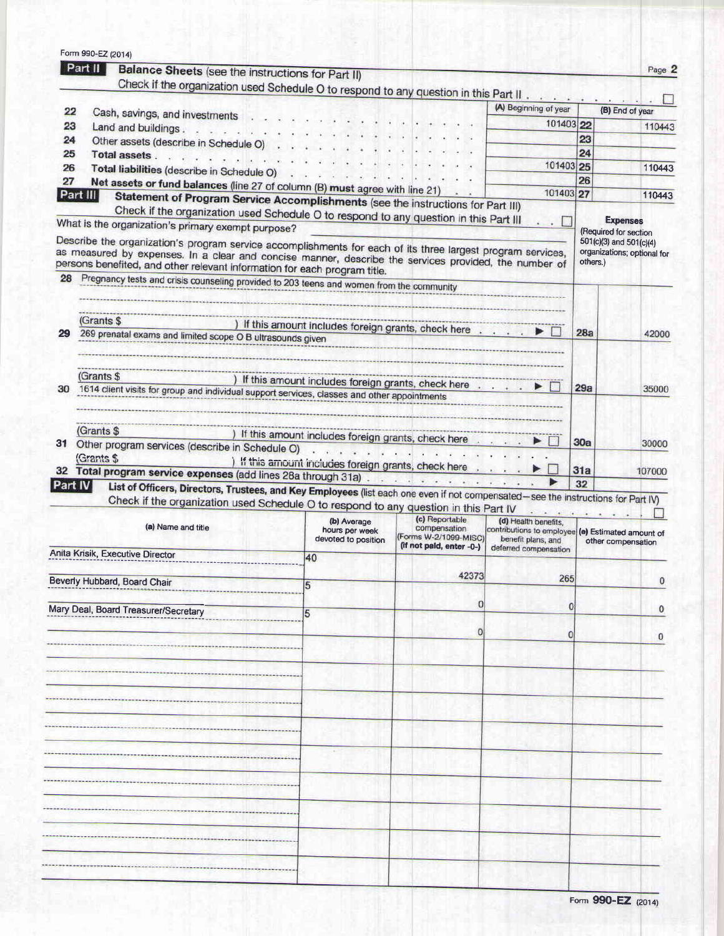| 22<br>23 |                                                                                                                                                                                    |                                                                                                                                   |                                       |                                                                         |          | Page 2                                                 |
|----------|------------------------------------------------------------------------------------------------------------------------------------------------------------------------------------|-----------------------------------------------------------------------------------------------------------------------------------|---------------------------------------|-------------------------------------------------------------------------|----------|--------------------------------------------------------|
|          | Balance Sheets (see the instructions for Part II)<br>Check if the organization used Schedule O to respond to any question in this Part II.                                         |                                                                                                                                   |                                       |                                                                         |          |                                                        |
|          |                                                                                                                                                                                    |                                                                                                                                   |                                       | (A) Beginning of year                                                   |          | (B) End of year                                        |
|          | Cash, savings, and investments<br>Land and buildings.                                                                                                                              |                                                                                                                                   |                                       | 101403 22                                                               |          | 110443                                                 |
| 24       | $\begin{array}{cccccccccccccc} \vdots & \ddots & \ddots & \ddots & \ddots & \ddots & \ddots \end{array}$<br>Other assets (describe in Schedule O)                                  |                                                                                                                                   |                                       |                                                                         | 23       |                                                        |
| 25       | Total assets.                                                                                                                                                                      |                                                                                                                                   |                                       |                                                                         | 24       |                                                        |
| 26       | Total liabilities (describe in Schedule O)                                                                                                                                         |                                                                                                                                   |                                       | 101403 25                                                               |          | 110443                                                 |
| 27       | Net assets or fund balances (line 27 of column (B) must agree with line 21)                                                                                                        |                                                                                                                                   |                                       |                                                                         | 26       |                                                        |
| Part III | Statement of Program Service Accomplishments (see the instructions for Part III)                                                                                                   |                                                                                                                                   |                                       | 101403 27                                                               |          | 110443                                                 |
|          | Check if the organization used Schedule O to respond to any question in this Part III                                                                                              |                                                                                                                                   |                                       |                                                                         |          | <b>Expenses</b>                                        |
|          | What is the organization's primary exempt purpose?                                                                                                                                 |                                                                                                                                   |                                       |                                                                         |          | (Required for section                                  |
|          | Describe the organization's program service accomplishments for each of its three largest program services,                                                                        |                                                                                                                                   |                                       |                                                                         |          | 501(c)(3) and 501(c)(4)<br>organizations; optional for |
|          | as measured by expenses. In a clear and concise manner, describe the services provided, the number of<br>persons benefited, and other relevant information for each program title. |                                                                                                                                   |                                       |                                                                         | others.) |                                                        |
| 28       | Pregnancy tests and crisis counseling provided to 203 teens and women from the community                                                                                           |                                                                                                                                   |                                       |                                                                         |          |                                                        |
|          |                                                                                                                                                                                    |                                                                                                                                   |                                       |                                                                         |          |                                                        |
|          |                                                                                                                                                                                    |                                                                                                                                   |                                       |                                                                         |          |                                                        |
|          | (Grants \$                                                                                                                                                                         | If this amount includes foreign grants, check here                                                                                |                                       |                                                                         |          |                                                        |
| 29       | 269 prenatal exams and limited scope O B ultrasounds given                                                                                                                         |                                                                                                                                   |                                       |                                                                         | 28a      | 42000                                                  |
|          |                                                                                                                                                                                    |                                                                                                                                   |                                       |                                                                         |          |                                                        |
|          | (Grants \$                                                                                                                                                                         |                                                                                                                                   |                                       |                                                                         |          |                                                        |
| 30       |                                                                                                                                                                                    | ) If this amount includes foreign grants, check here                                                                              |                                       |                                                                         | 29a      | 35000                                                  |
|          | 1614 client visits for group and individual support services, classes and other appointments                                                                                       |                                                                                                                                   |                                       |                                                                         |          |                                                        |
|          |                                                                                                                                                                                    |                                                                                                                                   |                                       |                                                                         |          |                                                        |
|          | (Grants \$                                                                                                                                                                         | If this amount includes foreign grants, check here                                                                                |                                       |                                                                         |          |                                                        |
| 31       | Other program services (describe in Schedule O)                                                                                                                                    | contract and an annual                                                                                                            |                                       |                                                                         | 30a      | 30000                                                  |
|          | (Grants \$                                                                                                                                                                         | ) If this amount includes foreign grants, check here                                                                              |                                       |                                                                         |          |                                                        |
|          | Total program service expenses (add lines 28a through 31a)                                                                                                                         |                                                                                                                                   |                                       |                                                                         | 31a      | 107000                                                 |
| Part IV  |                                                                                                                                                                                    |                                                                                                                                   |                                       |                                                                         |          |                                                        |
|          |                                                                                                                                                                                    |                                                                                                                                   |                                       |                                                                         | 32       |                                                        |
|          | Check if the organization used Schedule O to respond to any question in this Part IV                                                                                               | List of Officers, Directors, Trustees, and Key Employees (list each one even if not compensated-see the instructions for Part IV) |                                       |                                                                         |          |                                                        |
|          | (a) Name and title                                                                                                                                                                 | (b) Average                                                                                                                       | (c) Reportable                        | (d) Health benefits,                                                    |          |                                                        |
|          |                                                                                                                                                                                    | hours per week<br>devoted to position                                                                                             | compensation<br>(Forms W-2/1099-MISC) | contributions to employee (e) Estimated amount of<br>benefit plans, and |          | other compensation                                     |
|          | Anita Krisik, Executive Director                                                                                                                                                   | 40                                                                                                                                | (if not paid, enter -0-)              | deferred compensation                                                   |          |                                                        |
|          |                                                                                                                                                                                    |                                                                                                                                   |                                       |                                                                         |          |                                                        |
|          | Beverly Hubbard, Board Chair                                                                                                                                                       |                                                                                                                                   | 42373                                 | 265                                                                     |          |                                                        |
|          |                                                                                                                                                                                    |                                                                                                                                   |                                       |                                                                         |          |                                                        |
|          | Mary Deal, Board Treasurer/Secretary                                                                                                                                               | 5                                                                                                                                 | O                                     | 0                                                                       |          |                                                        |
|          |                                                                                                                                                                                    |                                                                                                                                   | Ð                                     | 0                                                                       |          |                                                        |
|          |                                                                                                                                                                                    |                                                                                                                                   |                                       |                                                                         |          |                                                        |
|          |                                                                                                                                                                                    |                                                                                                                                   |                                       |                                                                         |          |                                                        |
|          |                                                                                                                                                                                    |                                                                                                                                   |                                       |                                                                         |          |                                                        |
|          |                                                                                                                                                                                    |                                                                                                                                   |                                       |                                                                         |          |                                                        |
|          |                                                                                                                                                                                    |                                                                                                                                   |                                       |                                                                         |          |                                                        |
|          |                                                                                                                                                                                    |                                                                                                                                   |                                       |                                                                         |          |                                                        |
|          |                                                                                                                                                                                    |                                                                                                                                   |                                       |                                                                         |          |                                                        |
|          |                                                                                                                                                                                    |                                                                                                                                   |                                       |                                                                         |          |                                                        |
|          |                                                                                                                                                                                    |                                                                                                                                   |                                       |                                                                         |          |                                                        |
|          |                                                                                                                                                                                    |                                                                                                                                   |                                       |                                                                         |          |                                                        |
|          |                                                                                                                                                                                    |                                                                                                                                   |                                       |                                                                         |          |                                                        |
|          |                                                                                                                                                                                    |                                                                                                                                   |                                       |                                                                         |          |                                                        |
|          |                                                                                                                                                                                    |                                                                                                                                   |                                       |                                                                         |          |                                                        |
|          |                                                                                                                                                                                    |                                                                                                                                   |                                       |                                                                         |          |                                                        |
|          |                                                                                                                                                                                    |                                                                                                                                   |                                       |                                                                         |          |                                                        |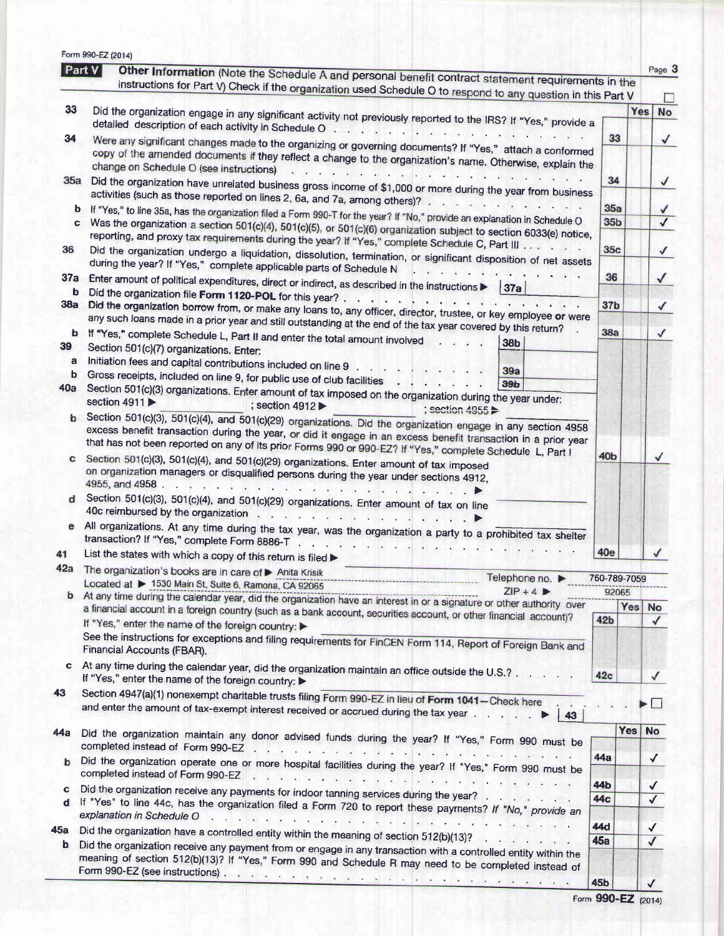|          | Part V<br>Other Information (Note the Schedule A and personal benefit contract statement requirements in the<br>instructions for Part V) Check if the organization used Schedule O to respond to any question in this Part V                                                                  |                       | Page 3                       |  |  |  |
|----------|-----------------------------------------------------------------------------------------------------------------------------------------------------------------------------------------------------------------------------------------------------------------------------------------------|-----------------------|------------------------------|--|--|--|
|          |                                                                                                                                                                                                                                                                                               |                       | <b>Yes</b><br>No             |  |  |  |
| 33       | Did the organization engage in any significant activity not previously reported to the IRS? If "Yes," provide a                                                                                                                                                                               |                       |                              |  |  |  |
| 34       | Were any significant changes made to the organizing or governing documents? If "Yes," attach a conformed<br>copy of the amended documents if they reflect a change to the organization's name. Otherwise, explain the<br>change on Schedule O (see instructions)                              |                       |                              |  |  |  |
| 35a      | the state of the second complete that<br>Did the organization have unrelated business gross income of \$1,000 or more during the year from business                                                                                                                                           |                       |                              |  |  |  |
| b        | activities (such as those reported on lines 2, 6a, and 7a, among others)?                                                                                                                                                                                                                     | 35a                   |                              |  |  |  |
| c        | If "Yes," to line 35a, has the organization filed a Form 990-T for the year? If "No," provide an explanation in Schedule O<br>Was the organization a section 501(c)(4), 501(c)(5), or 501(c)(6) organization subject to section 6033(e) notice,                                               |                       |                              |  |  |  |
| 36       | reporting, and proxy tax requirements during the year? If "Yes," complete Schedule C, Part III<br>Did the organization undergo a liquidation, dissolution, termination, or significant disposition of net assets<br>during the year? If "Yes," complete applicable parts of Schedule N        |                       |                              |  |  |  |
| 37a<br>b | Enter amount of political expenditures, direct or indirect, as described in the instructions $\blacktriangleright$ 37a                                                                                                                                                                        | 36                    | √                            |  |  |  |
| 38a      | Did the organization borrow from, or make any loans to, any officer, director, trustee, or key employee or were                                                                                                                                                                               | 37 <sub>b</sub>       | √                            |  |  |  |
| b<br>39  | any such loans made in a prior year and still outstanding at the end of the tax year covered by this return?<br>If "Yes," complete Schedule L, Part II and enter the total amount involved<br>$\mathbf{L}$<br>38 <sub>b</sub><br>Section 501(c)(7) organizations. Enter:                      | 38a                   | ✓                            |  |  |  |
| a        | Initiation fees and capital contributions included on line 9<br>39a                                                                                                                                                                                                                           |                       |                              |  |  |  |
| b        | Gross receipts, included on line 9, for public use of club facilities<br>39 <sub>b</sub>                                                                                                                                                                                                      |                       |                              |  |  |  |
| 40a      | Section 501(c)(3) organizations. Enter amount of tax imposed on the organization during the year under:<br>section 4911<br>; section 4912<br>$: section 4955 \rightarrow$                                                                                                                     |                       |                              |  |  |  |
| b        | Section 501(c)(3), 501(c)(4), and 501(c)(29) organizations. Did the organization engage in any section 4958<br>excess benefit transaction during the year, or did it engage in an excess benefit transaction in a prior year                                                                  |                       |                              |  |  |  |
| c        | that has not been reported on any of its prior Forms 990 or 990-EZ? If "Yes," complete Schedule L, Part I<br>Section 501(c)(3), 501(c)(4), and 501(c)(29) organizations. Enter amount of tax imposed<br>on organization managers or disqualified persons during the year under sections 4912, | 40 <sub>b</sub>       | √                            |  |  |  |
|          | Section 501(c)(3), 501(c)(4), and 501(c)(29) organizations. Enter amount of tax on line                                                                                                                                                                                                       |                       |                              |  |  |  |
|          | All organizations. At any time during the tax year, was the organization a party to a prohibited tax shelter<br>transaction? If "Yes," complete Form 8886-T                                                                                                                                   |                       |                              |  |  |  |
| 41       | List the states with which a copy of this return is filed                                                                                                                                                                                                                                     | 40e                   |                              |  |  |  |
| 42a      | The organization's books are in care of > Anita Krisik<br>Telephone no. ▶                                                                                                                                                                                                                     |                       |                              |  |  |  |
|          | Located at ▶ 1530 Main St, Suite 6, Ramona, CA 92065<br>$ZIP + 4$                                                                                                                                                                                                                             | 760-789-7059<br>92065 |                              |  |  |  |
|          | At any time during the calendar year, did the organization have an interest in or a signature or other authority over                                                                                                                                                                         |                       | Yes<br><b>No</b>             |  |  |  |
|          | a financial account in a foreign country (such as a bank account, securities account, or other financial account)?<br>If "Yes," enter the name of the foreign country:                                                                                                                        | 42 <sub>b</sub>       | $\checkmark$                 |  |  |  |
|          | See the instructions for exceptions and filing requirements for FinCEN Form 114, Report of Foreign Bank and<br>Financial Accounts (FBAR).                                                                                                                                                     |                       |                              |  |  |  |
| c        | At any time during the calendar year, did the organization maintain an office outside the U.S.?<br>If "Yes," enter the name of the foreign country:                                                                                                                                           | 42c                   | ✓                            |  |  |  |
| 43       | Section 4947(a)(1) nonexempt charitable trusts filing Form 990-EZ in lieu of Form 1041-Check here<br>and enter the amount of tax-exempt interest received or accrued during the tax year                                                                                                      |                       | $\Box$                       |  |  |  |
|          | $\begin{array}{ c c }\n\hline\n43\n\end{array}$<br>►                                                                                                                                                                                                                                          |                       |                              |  |  |  |
| 44a      | Did the organization maintain any donor advised funds during the year? If "Yes," Form 990 must be                                                                                                                                                                                             |                       | Yes No                       |  |  |  |
|          | Did the organization operate one or more hospital facilities during the year? If "Yes," Form 990 must be                                                                                                                                                                                      | 44a                   | $\checkmark$                 |  |  |  |
| c        | Did the organization receive any payments for indoor tanning services during the year?<br>If "Yes" to line 44c, has the organization filed a Form 720 to report these payments? If "No," provide an                                                                                           | 44b<br>44c            | $\checkmark$<br>$\checkmark$ |  |  |  |
|          |                                                                                                                                                                                                                                                                                               |                       |                              |  |  |  |
| 45a      | Did the organization have a controlled entity within the meaning of section 512(b)(13)? $\ldots$ , , , , ,<br>Did the organization receive any payment from or engage in any transaction with a controlled entity within the                                                                  | 44d<br>45a            | ✓                            |  |  |  |
| b        |                                                                                                                                                                                                                                                                                               |                       |                              |  |  |  |

|  | Form 990-EZ (2014) |  |
|--|--------------------|--|
|--|--------------------|--|